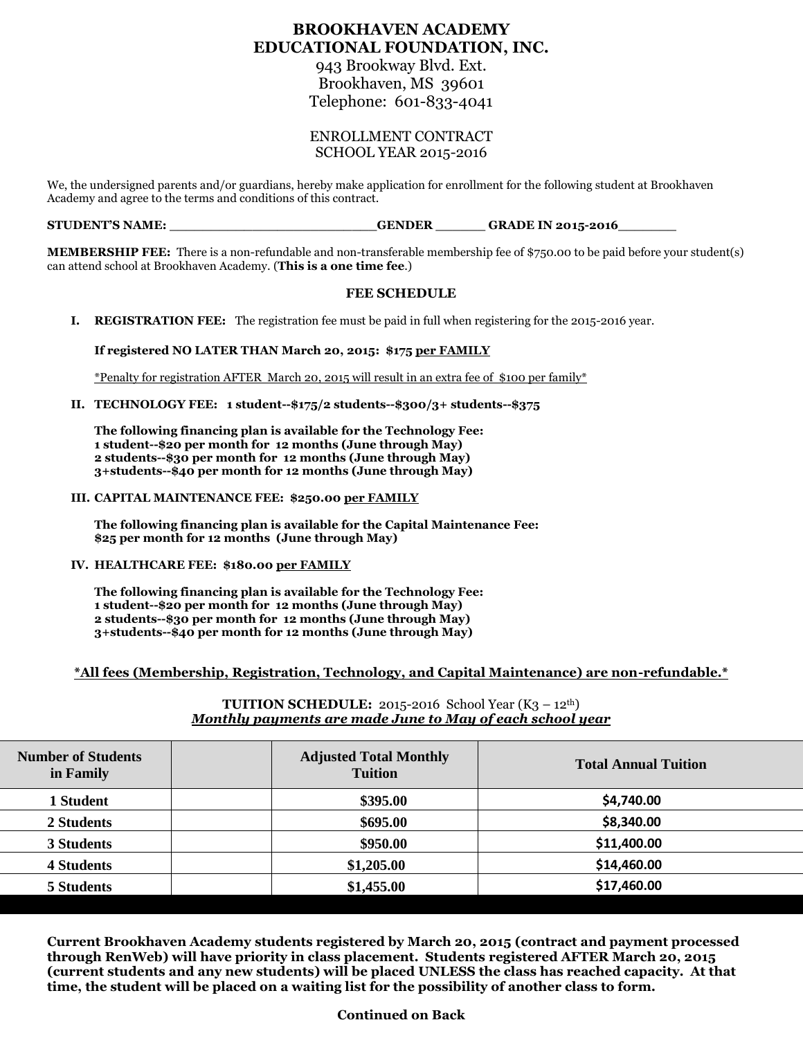# **BROOKHAVEN ACADEMY EDUCATIONAL FOUNDATION, INC.**

943 Brookway Blvd. Ext. Brookhaven, MS 39601 Telephone: 601-833-4041

## ENROLLMENT CONTRACT SCHOOL YEAR 2015-2016

We, the undersigned parents and/or guardians, hereby make application for enrollment for the following student at Brookhaven Academy and agree to the terms and conditions of this contract.

## **STUDENT'S NAME: \_\_\_\_\_\_\_\_\_\_\_\_\_\_\_\_\_\_\_\_\_\_\_\_\_GENDER \_\_\_\_\_\_ GRADE IN 2015-2016\_\_\_\_\_\_\_**

**MEMBERSHIP FEE:** There is a non-refundable and non-transferable membership fee of \$750.00 to be paid before your student(s) can attend school at Brookhaven Academy. (**This is a one time fee**.)

## **FEE SCHEDULE**

**I. REGISTRATION FEE:** The registration fee must be paid in full when registering for the 2015-2016 year.

**If registered NO LATER THAN March 20, 2015: \$175 per FAMILY**

\*Penalty for registration AFTER March 20, 2015 will result in an extra fee of \$100 per family\*

**II. TECHNOLOGY FEE: 1 student--\$175/2 students--\$300/3+ students--\$375**

**The following financing plan is available for the Technology Fee: 1 student--\$20 per month for 12 months (June through May) 2 students--\$30 per month for 12 months (June through May) 3+students--\$40 per month for 12 months (June through May)**

#### **III. CAPITAL MAINTENANCE FEE: \$250.00 per FAMILY**

**The following financing plan is available for the Capital Maintenance Fee: \$25 per month for 12 months (June through May)**

**IV. HEALTHCARE FEE: \$180.00 per FAMILY**

**The following financing plan is available for the Technology Fee: 1 student--\$20 per month for 12 months (June through May) 2 students--\$30 per month for 12 months (June through May) 3+students--\$40 per month for 12 months (June through May)**

## **\*All fees (Membership, Registration, Technology, and Capital Maintenance) are non-refundable.\***

## **TUITION SCHEDULE:** 2015-2016 School Year (K3 – 12<sup>th</sup>) *Monthly payments are made June to May of each school year*

| <b>Number of Students</b><br>in Family | <b>Adjusted Total Monthly</b><br><b>Tuition</b> | <b>Total Annual Tuition</b> |
|----------------------------------------|-------------------------------------------------|-----------------------------|
| 1 Student                              | \$395.00                                        | \$4,740.00                  |
| 2 Students                             | \$695.00                                        | \$8,340.00                  |
| 3 Students                             | \$950.00                                        | \$11,400.00                 |
| <b>4 Students</b>                      | \$1,205.00                                      | \$14,460.00                 |
| 5 Students                             | \$1,455.00                                      | \$17,460.00                 |

**Current Brookhaven Academy students registered by March 20, 2015 (contract and payment processed through RenWeb) will have priority in class placement. Students registered AFTER March 20, 2015 (current students and any new students) will be placed UNLESS the class has reached capacity. At that time, the student will be placed on a waiting list for the possibility of another class to form.**

## **Continued on Back**